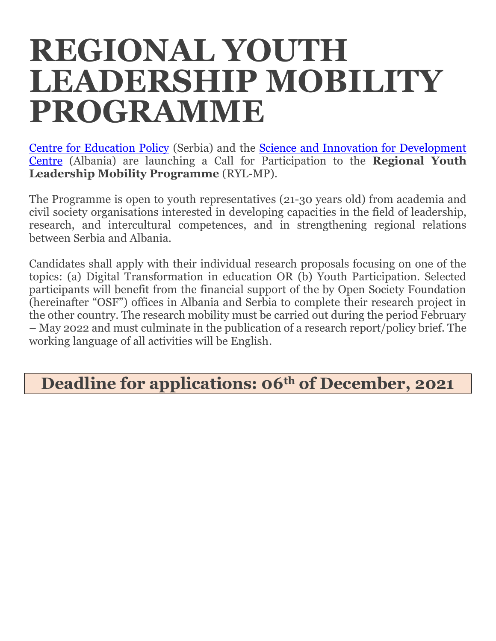# **REGIONAL YOUTH LEADERSHIP MOBILITY PROGRAMME**

[Centre for Education Policy](http://www.cep.edu.rs/eng) (Serbia) and the [Science and Innovation for Development](http://www.scidevcenter.org/)  [Centre](http://www.scidevcenter.org/) (Albania) are launching a Call for Participation to the **Regional Youth Leadership Mobility Programme** (RYL-MP).

The Programme is open to youth representatives (21-30 years old) from academia and civil society organisations interested in developing capacities in the field of leadership, research, and intercultural competences, and in strengthening regional relations between Serbia and Albania.

Candidates shall apply with their individual research proposals focusing on one of the topics: (a) Digital Transformation in education OR (b) Youth Participation. Selected participants will benefit from the financial support of the by Open Society Foundation (hereinafter "OSF") offices in Albania and Serbia to complete their research project in the other country. The research mobility must be carried out during the period February – May 2022 and must culminate in the publication of a research report/policy brief. The working language of all activities will be English.

## **Deadline for applications: 06th of December, 2021**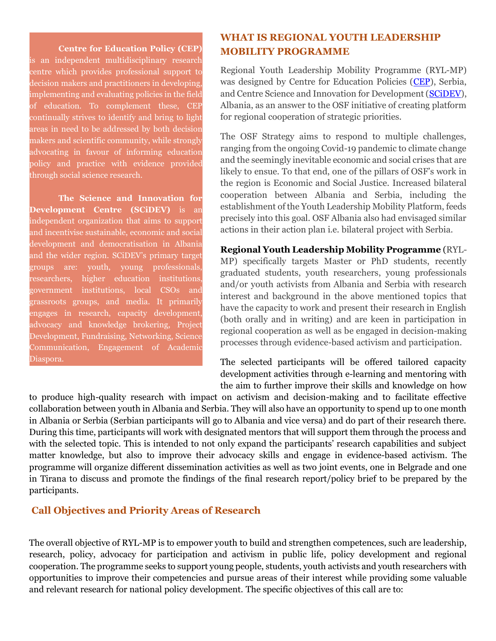#### **Centre for Education Policy (CEP)**

is an independent multidisciplinary research centre which provides professional support to decision makers and practitioners in developing, implementing and evaluating policies in the field of education. To complement these, CEP continually strives to identify and bring to light areas in need to be addressed by both decision makers and scientific community, while strongly advocating in favour of informing education policy and practice with evidence provided through social science research.

**The Science and Innovation for Development Centre (SCiDEV)** is an independent organization that aims to support and incentivise sustainable, economic and social development and democratisation in Albania and the wider region. SCiDEV's primary target groups are: youth, young professionals, researchers, higher education institutions, government institutions, local CSOs and grassroots groups, and media. It primarily engages in research, capacity development, advocacy and knowledge brokering, Project Development, Fundraising, Networking, Science Communication, Engagement of Academic Diaspora.

#### **WHAT IS REGIONAL YOUTH LEADERSHIP MOBILITY PROGRAMME**

Regional Youth Leadership Mobility Programme (RYL-MP) was designed by Centre for Education Policies [\(CEP\)](http://www.cep.edu.rs/eng), Serbia, and Centre Science and Innovation for Development [\(SCiDEV\)](http://www.scidevcenter.org/), Albania, as an answer to the OSF initiative of creating platform for regional cooperation of strategic priorities.

The OSF Strategy aims to respond to multiple challenges, ranging from the ongoing Covid-19 pandemic to climate change and the seemingly inevitable economic and social crises that are likely to ensue. To that end, one of the pillars of OSF's work in the region is Economic and Social Justice. Increased bilateral cooperation between Albania and Serbia, including the establishment of the Youth Leadership Mobility Platform, feeds precisely into this goal. OSF Albania also had envisaged similar actions in their action plan i.e. bilateral project with Serbia.

**Regional Youth Leadership Mobility Programme** (RYL-MP) specifically targets Master or PhD students, recently graduated students, youth researchers, young professionals and/or youth activists from Albania and Serbia with research interest and background in the above mentioned topics that have the capacity to work and present their research in English (both orally and in writing) and are keen in participation in regional cooperation as well as be engaged in decision-making processes through evidence-based activism and participation.

The selected participants will be offered tailored capacity development activities through e-learning and mentoring with the aim to further improve their skills and knowledge on how

to produce high-quality research with impact on activism and decision-making and to facilitate effective collaboration between youth in Albania and Serbia. They will also have an opportunity to spend up to one month in Albania or Serbia (Serbian participants will go to Albania and vice versa) and do part of their research there. During this time, participants will work with designated mentors that will support them through the process and with the selected topic. This is intended to not only expand the participants' research capabilities and subject matter knowledge, but also to improve their advocacy skills and engage in evidence-based activism. The programme will organize different dissemination activities as well as two joint events, one in Belgrade and one in Tirana to discuss and promote the findings of the final research report/policy brief to be prepared by the participants.

#### **Call Objectives and Priority Areas of Research**

The overall objective of RYL-MP is to empower youth to build and strengthen competences, such are leadership, research, policy, advocacy for participation and activism in public life, policy development and regional cooperation. The programme seeks to support young people, students, youth activists and youth researchers with opportunities to improve their competencies and pursue areas of their interest while providing some valuable and relevant research for national policy development. The specific objectives of this call are to: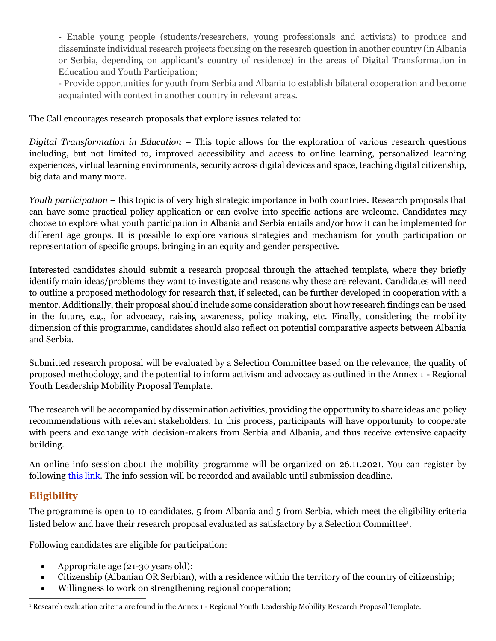- Enable young people (students/researchers, young professionals and activists) to produce and disseminate individual research projects focusing on the research question in another country (in Albania or Serbia, depending on applicant's country of residence) in the areas of Digital Transformation in Education and Youth Participation;

- Provide opportunities for youth from Serbia and Albania to establish bilateral cooperation and become acquainted with context in another country in relevant areas.

The Call encourages research proposals that explore issues related to:

*Digital Transformation in Education –* This topic allows for the exploration of various research questions including, but not limited to, improved accessibility and access to online learning, personalized learning experiences, virtual learning environments, security across digital devices and space, teaching digital citizenship, big data and many more.

*Youth participation* – this topic is of very high strategic importance in both countries. Research proposals that can have some practical policy application or can evolve into specific actions are welcome. Candidates may choose to explore what youth participation in Albania and Serbia entails and/or how it can be implemented for different age groups. It is possible to explore various strategies and mechanism for youth participation or representation of specific groups, bringing in an equity and gender perspective.

Interested candidates should submit a research proposal through the attached template, where they briefly identify main ideas/problems they want to investigate and reasons why these are relevant. Candidates will need to outline a proposed methodology for research that, if selected, can be further developed in cooperation with a mentor. Additionally, their proposal should include some consideration about how research findings can be used in the future, e.g., for advocacy, raising awareness, policy making, etc. Finally, considering the mobility dimension of this programme, candidates should also reflect on potential comparative aspects between Albania and Serbia.

Submitted research proposal will be evaluated by a Selection Committee based on the relevance, the quality of proposed methodology, and the potential to inform activism and advocacy as outlined in the Annex 1 - Regional Youth Leadership Mobility Proposal Template.

The research will be accompanied by dissemination activities, providing the opportunity to share ideas and policy recommendations with relevant stakeholders. In this process, participants will have opportunity to cooperate with peers and exchange with decision-makers from Serbia and Albania, and thus receive extensive capacity building.

An online info session about the mobility programme will be organized on 26.11.2021. You can register by following [this link.](https://us06web.zoom.us/meeting/register/tZwode6urjsjGtx2R9Y2uByX-KhcfBxbrGGh) The info session will be recorded and available until submission deadline.

#### **Eligibility**

The programme is open to 10 candidates, 5 from Albania and 5 from Serbia, which meet the eligibility criteria listed below and have their research proposal evaluated as satisfactory by a Selection Committee<sup>1</sup>.

Following candidates are eligible for participation:

- Appropriate age (21-30 years old);
- Citizenship (Albanian OR Serbian), with a residence within the territory of the country of citizenship;
- Willingness to work on strengthening regional cooperation;

<sup>1</sup> Research evaluation criteria are found in the Annex 1 - Regional Youth Leadership Mobility Research Proposal Template.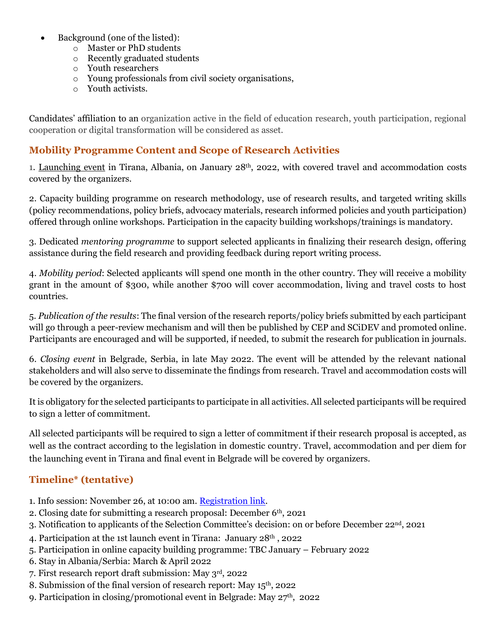- Background (one of the listed):
	- o Master or PhD students
	- o Recently graduated students
	- o Youth researchers
	- o Young professionals from civil society organisations,
	- o Youth activists.

Candidates' affiliation to an organization active in the field of education research, youth participation, regional cooperation or digital transformation will be considered as asset.

#### **Mobility Programme Content and Scope of Research Activities**

1. Launching event in Tirana, Albania, on January 28<sup>th</sup>, 2022, with covered travel and accommodation costs covered by the organizers.

2. Capacity building programme on research methodology, use of research results, and targeted writing skills (policy recommendations, policy briefs, advocacy materials, research informed policies and youth participation) offered through online workshops. Participation in the capacity building workshops/trainings is mandatory.

3. Dedicated *mentoring programme* to support selected applicants in finalizing their research design, offering assistance during the field research and providing feedback during report writing process.

4. *Mobility period*: Selected applicants will spend one month in the other country. They will receive a mobility grant in the amount of \$300, while another \$700 will cover accommodation, living and travel costs to host countries.

5. *Publication of the results*: The final version of the research reports/policy briefs submitted by each participant will go through a peer-review mechanism and will then be published by CEP and SCiDEV and promoted online. Participants are encouraged and will be supported, if needed, to submit the research for publication in journals.

6. *Closing event* in Belgrade, Serbia, in late May 2022. The event will be attended by the relevant national stakeholders and will also serve to disseminate the findings from research. Travel and accommodation costs will be covered by the organizers.

It is obligatory for the selected participants to participate in all activities. All selected participants will be required to sign a letter of commitment.

All selected participants will be required to sign a letter of commitment if their research proposal is accepted, as well as the contract according to the legislation in domestic country. Travel, accommodation and per diem for the launching event in Tirana and final event in Belgrade will be covered by organizers.

### **Timeline\* (tentative)**

- 1. Info session: November 26, at 10:00 am. [Registration link.](https://us06web.zoom.us/meeting/register/tZwode6urjsjGtx2R9Y2uByX-KhcfBxbrGGh)
- 2. Closing date for submitting a research proposal: December  $6<sup>th</sup>$ , 2021
- 3. Notification to applicants of the Selection Committee's decision: on or before December 22nd, 2021
- 4. Participation at the 1st launch event in Tirana: January 28th , 2022
- 5. Participation in online capacity building programme: TBC January February 2022
- 6. Stay in Albania/Serbia: March & April 2022
- 7. First research report draft submission: May 3rd, 2022
- 8. Submission of the final version of research report: May 15th, 2022
- 9. Participation in closing/promotional event in Belgrade: May 27<sup>th</sup>, 2022